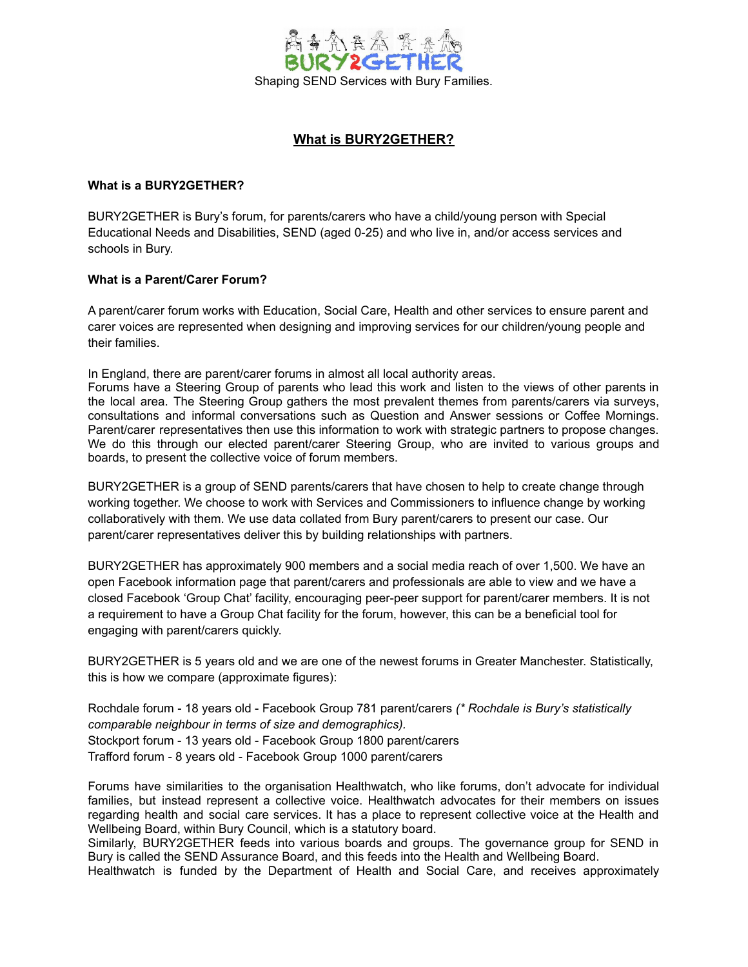

# **What is BURY2GETHER?**

#### **What is a BURY2GETHER?**

BURY2GETHER is Bury's forum, for parents/carers who have a child/young person with Special Educational Needs and Disabilities, SEND (aged 0-25) and who live in, and/or access services and schools in Bury.

# **What is a Parent/Carer Forum?**

A parent/carer forum works with Education, Social Care, Health and other services to ensure parent and carer voices are represented when designing and improving services for our children/young people and their families.

In England, there are parent/carer forums in almost all local authority areas.

Forums have a Steering Group of parents who lead this work and listen to the views of other parents in the local area. The Steering Group gathers the most prevalent themes from parents/carers via surveys, consultations and informal conversations such as Question and Answer sessions or Coffee Mornings. Parent/carer representatives then use this information to work with strategic partners to propose changes. We do this through our elected parent/carer Steering Group, who are invited to various groups and boards, to present the collective voice of forum members.

BURY2GETHER is a group of SEND parents/carers that have chosen to help to create change through working together. We choose to work with Services and Commissioners to influence change by working collaboratively with them. We use data collated from Bury parent/carers to present our case. Our parent/carer representatives deliver this by building relationships with partners.

BURY2GETHER has approximately 900 members and a social media reach of over 1,500. We have an open Facebook information page that parent/carers and professionals are able to view and we have a closed Facebook 'Group Chat' facility, encouraging peer-peer support for parent/carer members. It is not a requirement to have a Group Chat facility for the forum, however, this can be a beneficial tool for engaging with parent/carers quickly.

BURY2GETHER is 5 years old and we are one of the newest forums in Greater Manchester. Statistically, this is how we compare (approximate figures):

Rochdale forum - 18 years old - Facebook Group 781 parent/carers *(\* Rochdale is Bury's statistically comparable neighbour in terms of size and demographics).* Stockport forum - 13 years old - Facebook Group 1800 parent/carers Trafford forum - 8 years old - Facebook Group 1000 parent/carers

Forums have similarities to the organisation Healthwatch, who like forums, don't advocate for individual families, but instead represent a collective voice. Healthwatch advocates for their members on issues regarding health and social care services. It has a place to represent collective voice at the Health and Wellbeing Board, within Bury Council, which is a statutory board.

Similarly, BURY2GETHER feeds into various boards and groups. The governance group for SEND in Bury is called the SEND Assurance Board, and this feeds into the Health and Wellbeing Board.

Healthwatch is funded by the Department of Health and Social Care, and receives approximately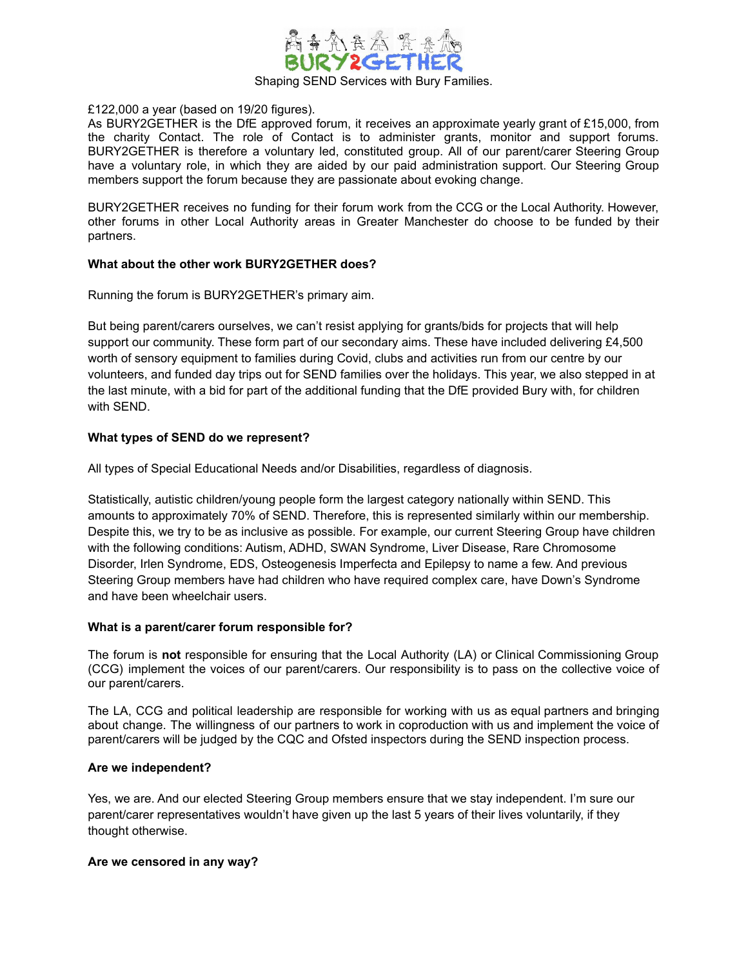

#### £122,000 a year (based on 19/20 figures).

As BURY2GETHER is the DfE approved forum, it receives an approximate yearly grant of £15,000, from the charity Contact. The role of Contact is to administer grants, monitor and support forums. BURY2GETHER is therefore a voluntary led, constituted group. All of our parent/carer Steering Group have a voluntary role, in which they are aided by our paid administration support. Our Steering Group members support the forum because they are passionate about evoking change.

BURY2GETHER receives no funding for their forum work from the CCG or the Local Authority. However, other forums in other Local Authority areas in Greater Manchester do choose to be funded by their partners.

# **What about the other work BURY2GETHER does?**

Running the forum is BURY2GETHER's primary aim.

But being parent/carers ourselves, we can't resist applying for grants/bids for projects that will help support our community. These form part of our secondary aims. These have included delivering £4,500 worth of sensory equipment to families during Covid, clubs and activities run from our centre by our volunteers, and funded day trips out for SEND families over the holidays. This year, we also stepped in at the last minute, with a bid for part of the additional funding that the DfE provided Bury with, for children with SEND.

# **What types of SEND do we represent?**

All types of Special Educational Needs and/or Disabilities, regardless of diagnosis.

Statistically, autistic children/young people form the largest category nationally within SEND. This amounts to approximately 70% of SEND. Therefore, this is represented similarly within our membership. Despite this, we try to be as inclusive as possible. For example, our current Steering Group have children with the following conditions: Autism, ADHD, SWAN Syndrome, Liver Disease, Rare Chromosome Disorder, Irlen Syndrome, EDS, Osteogenesis Imperfecta and Epilepsy to name a few. And previous Steering Group members have had children who have required complex care, have Down's Syndrome and have been wheelchair users.

#### **What is a parent/carer forum responsible for?**

The forum is **not** responsible for ensuring that the Local Authority (LA) or Clinical Commissioning Group (CCG) implement the voices of our parent/carers. Our responsibility is to pass on the collective voice of our parent/carers.

The LA, CCG and political leadership are responsible for working with us as equal partners and bringing about change. The willingness of our partners to work in coproduction with us and implement the voice of parent/carers will be judged by the CQC and Ofsted inspectors during the SEND inspection process.

#### **Are we independent?**

Yes, we are. And our elected Steering Group members ensure that we stay independent. I'm sure our parent/carer representatives wouldn't have given up the last 5 years of their lives voluntarily, if they thought otherwise.

#### **Are we censored in any way?**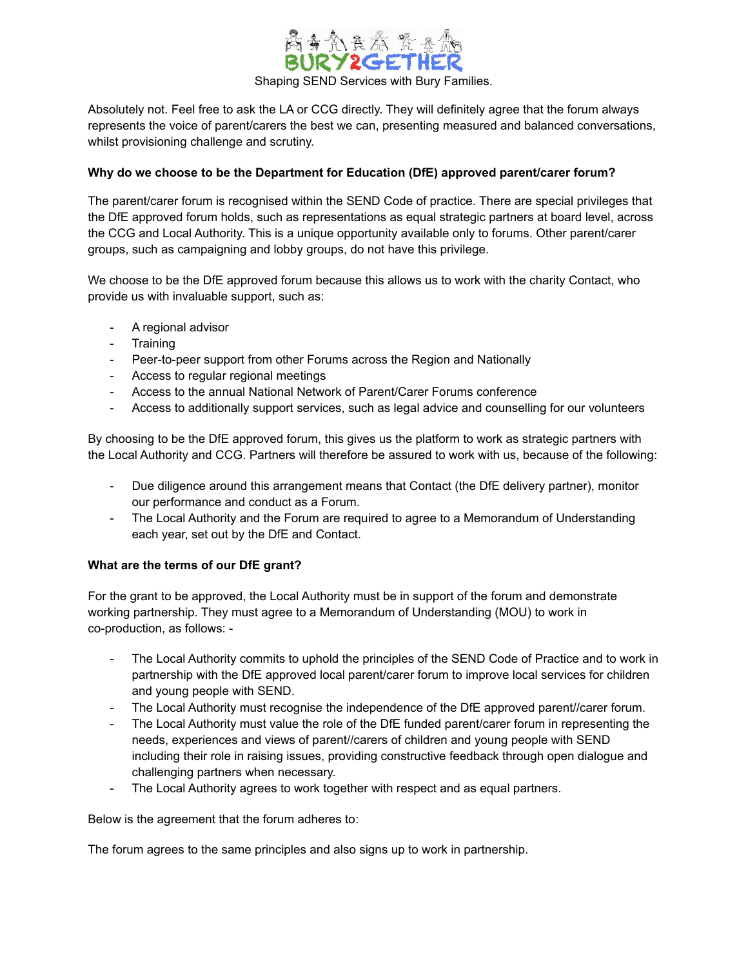

Absolutely not. Feel free to ask the LA or CCG directly. They will definitely agree that the forum always represents the voice of parent/carers the best we can, presenting measured and balanced conversations, whilst provisioning challenge and scrutiny.

# **Why do we choose to be the Department for Education (DfE) approved parent/carer forum?**

The parent/carer forum is recognised within the SEND Code of practice. There are special privileges that the DfE approved forum holds, such as representations as equal strategic partners at board level, across the CCG and Local Authority. This is a unique opportunity available only to forums. Other parent/carer groups, such as campaigning and lobby groups, do not have this privilege.

We choose to be the DfE approved forum because this allows us to work with the charity Contact, who provide us with invaluable support, such as:

- A regional advisor
- Training
- Peer-to-peer support from other Forums across the Region and Nationally
- Access to regular regional meetings
- Access to the annual National Network of Parent/Carer Forums conference
- Access to additionally support services, such as legal advice and counselling for our volunteers

By choosing to be the DfE approved forum, this gives us the platform to work as strategic partners with the Local Authority and CCG. Partners will therefore be assured to work with us, because of the following:

- Due diligence around this arrangement means that Contact (the DfE delivery partner), monitor our performance and conduct as a Forum.
- The Local Authority and the Forum are required to agree to a Memorandum of Understanding each year, set out by the DfE and Contact.

#### **What are the terms of our DfE grant?**

For the grant to be approved, the Local Authority must be in support of the forum and demonstrate working partnership. They must agree to a Memorandum of Understanding (MOU) to work in co-production, as follows: -

- The Local Authority commits to uphold the principles of the SEND Code of Practice and to work in partnership with the DfE approved local parent/carer forum to improve local services for children and young people with SEND.
- The Local Authority must recognise the independence of the DfE approved parent//carer forum.
- The Local Authority must value the role of the DfE funded parent/carer forum in representing the needs, experiences and views of parent//carers of children and young people with SEND including their role in raising issues, providing constructive feedback through open dialogue and challenging partners when necessary.
- The Local Authority agrees to work together with respect and as equal partners.

Below is the agreement that the forum adheres to:

The forum agrees to the same principles and also signs up to work in partnership.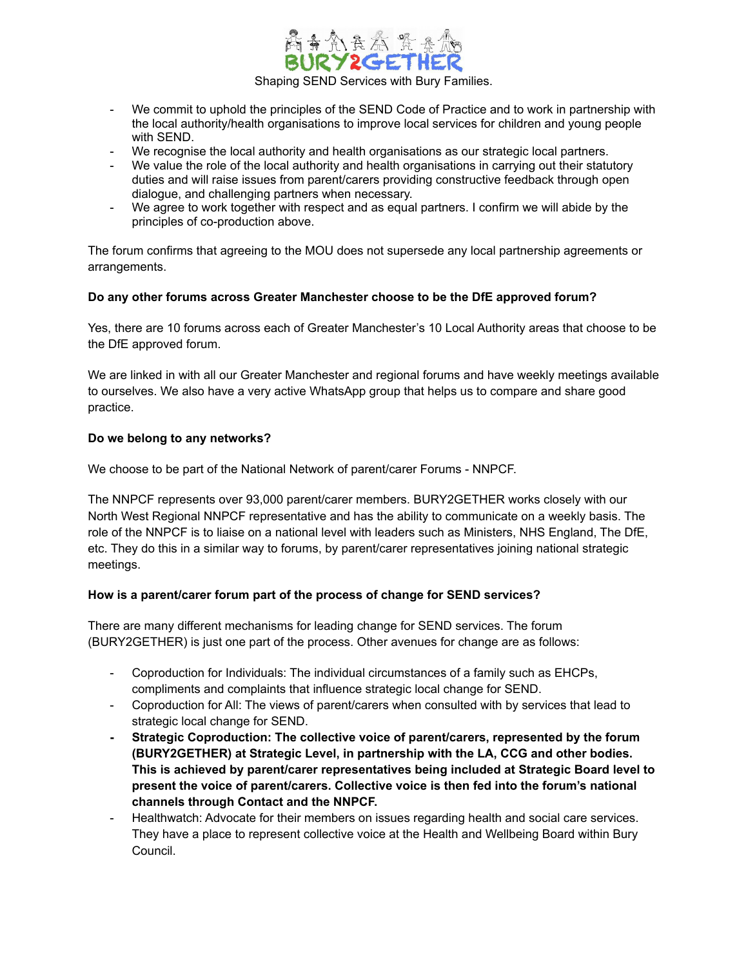

- We commit to uphold the principles of the SEND Code of Practice and to work in partnership with the local authority/health organisations to improve local services for children and young people with SEND.
- We recognise the local authority and health organisations as our strategic local partners.
- We value the role of the local authority and health organisations in carrying out their statutory duties and will raise issues from parent/carers providing constructive feedback through open dialogue, and challenging partners when necessary.
- We agree to work together with respect and as equal partners. I confirm we will abide by the principles of co-production above.

The forum confirms that agreeing to the MOU does not supersede any local partnership agreements or arrangements.

# **Do any other forums across Greater Manchester choose to be the DfE approved forum?**

Yes, there are 10 forums across each of Greater Manchester's 10 Local Authority areas that choose to be the DfE approved forum.

We are linked in with all our Greater Manchester and regional forums and have weekly meetings available to ourselves. We also have a very active WhatsApp group that helps us to compare and share good practice.

# **Do we belong to any networks?**

We choose to be part of the National Network of parent/carer Forums - NNPCF.

The NNPCF represents over 93,000 parent/carer members. BURY2GETHER works closely with our North West Regional NNPCF representative and has the ability to communicate on a weekly basis. The role of the NNPCF is to liaise on a national level with leaders such as Ministers, NHS England, The DfE, etc. They do this in a similar way to forums, by parent/carer representatives joining national strategic meetings.

#### **How is a parent/carer forum part of the process of change for SEND services?**

There are many different mechanisms for leading change for SEND services. The forum (BURY2GETHER) is just one part of the process. Other avenues for change are as follows:

- Coproduction for Individuals: The individual circumstances of a family such as EHCPs, compliments and complaints that influence strategic local change for SEND.
- Coproduction for All: The views of parent/carers when consulted with by services that lead to strategic local change for SEND.
- **- Strategic Coproduction: The collective voice of parent/carers, represented by the forum (BURY2GETHER) at Strategic Level, in partnership with the LA, CCG and other bodies. This is achieved by parent/carer representatives being included at Strategic Board level to present the voice of parent/carers. Collective voice is then fed into the forum's national channels through Contact and the NNPCF.**
- Healthwatch: Advocate for their members on issues regarding health and social care services. They have a place to represent collective voice at the Health and Wellbeing Board within Bury Council.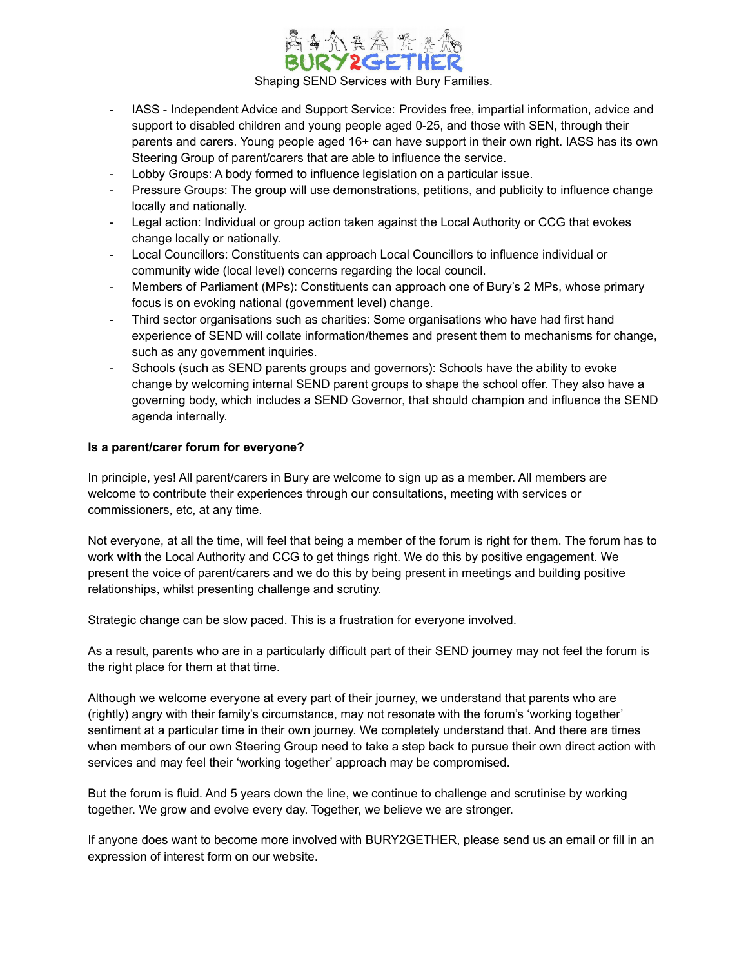

- IASS Independent Advice and Support Service: Provides free, impartial information, advice and support to disabled children and young people aged 0-25, and those with SEN, through their parents and carers. Young people aged 16+ can have support in their own right. IASS has its own Steering Group of parent/carers that are able to influence the service.
- Lobby Groups: A body formed to influence legislation on a particular issue.
- Pressure Groups: The group will use demonstrations, petitions, and publicity to influence change locally and nationally.
- Legal action: Individual or group action taken against the Local Authority or CCG that evokes change locally or nationally.
- Local Councillors: Constituents can approach Local Councillors to influence individual or community wide (local level) concerns regarding the local council.
- Members of Parliament (MPs): Constituents can approach one of Bury's 2 MPs, whose primary focus is on evoking national (government level) change.
- Third sector organisations such as charities: Some organisations who have had first hand experience of SEND will collate information/themes and present them to mechanisms for change, such as any government inquiries.
- Schools (such as SEND parents groups and governors): Schools have the ability to evoke change by welcoming internal SEND parent groups to shape the school offer. They also have a governing body, which includes a SEND Governor, that should champion and influence the SEND agenda internally.

# **Is a parent/carer forum for everyone?**

In principle, yes! All parent/carers in Bury are welcome to sign up as a member. All members are welcome to contribute their experiences through our consultations, meeting with services or commissioners, etc, at any time.

Not everyone, at all the time, will feel that being a member of the forum is right for them. The forum has to work **with** the Local Authority and CCG to get things right. We do this by positive engagement. We present the voice of parent/carers and we do this by being present in meetings and building positive relationships, whilst presenting challenge and scrutiny.

Strategic change can be slow paced. This is a frustration for everyone involved.

As a result, parents who are in a particularly difficult part of their SEND journey may not feel the forum is the right place for them at that time.

Although we welcome everyone at every part of their journey, we understand that parents who are (rightly) angry with their family's circumstance, may not resonate with the forum's 'working together' sentiment at a particular time in their own journey. We completely understand that. And there are times when members of our own Steering Group need to take a step back to pursue their own direct action with services and may feel their 'working together' approach may be compromised.

But the forum is fluid. And 5 years down the line, we continue to challenge and scrutinise by working together. We grow and evolve every day. Together, we believe we are stronger.

If anyone does want to become more involved with BURY2GETHER, please send us an email or fill in an expression of interest form on our website.